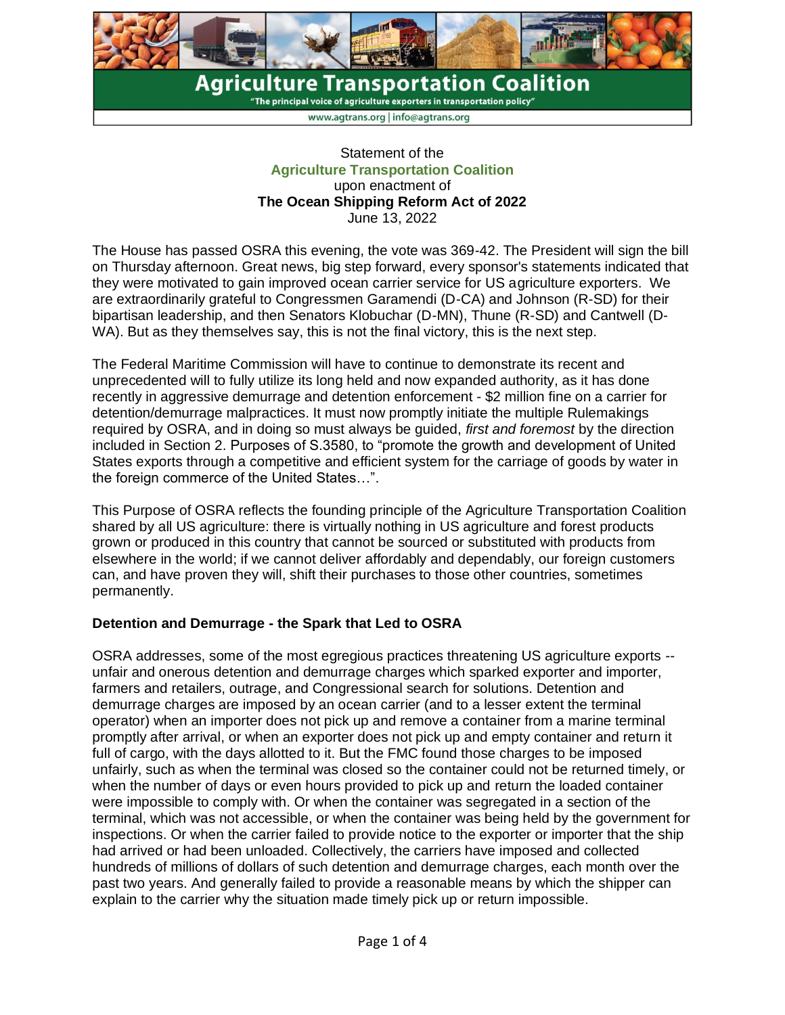

 $\mathrm{``The \, principal \, voice \, of \, agriculture \, exports \, in \, transportation \, policy''}$ 

www.agtrans.org | info@agtrans.org

## Statement of the **Agriculture Transportation Coalition** upon enactment of **The Ocean Shipping Reform Act of 2022** June 13, 2022

The House has passed OSRA this evening, the vote was 369-42. The President will sign the bill on Thursday afternoon. Great news, big step forward, every sponsor's statements indicated that they were motivated to gain improved ocean carrier service for US agriculture exporters. We are extraordinarily grateful to Congressmen Garamendi (D-CA) and Johnson (R-SD) for their bipartisan leadership, and then Senators Klobuchar (D-MN), Thune (R-SD) and Cantwell (D-WA). But as they themselves say, this is not the final victory, this is the next step.

The Federal Maritime Commission will have to continue to demonstrate its recent and unprecedented will to fully utilize its long held and now expanded authority, as it has done recently in aggressive demurrage and detention enforcement - \$2 million fine on a carrier for detention/demurrage malpractices. It must now promptly initiate the multiple Rulemakings required by OSRA, and in doing so must always be guided, *first and foremost* by the direction included in Section 2. Purposes of S.3580, to "promote the growth and development of United States exports through a competitive and efficient system for the carriage of goods by water in the foreign commerce of the United States…".

This Purpose of OSRA reflects the founding principle of the Agriculture Transportation Coalition shared by all US agriculture: there is virtually nothing in US agriculture and forest products grown or produced in this country that cannot be sourced or substituted with products from elsewhere in the world; if we cannot deliver affordably and dependably, our foreign customers can, and have proven they will, shift their purchases to those other countries, sometimes permanently.

# **Detention and Demurrage - the Spark that Led to OSRA**

OSRA addresses, some of the most egregious practices threatening US agriculture exports - unfair and onerous detention and demurrage charges which sparked exporter and importer, farmers and retailers, outrage, and Congressional search for solutions. Detention and demurrage charges are imposed by an ocean carrier (and to a lesser extent the terminal operator) when an importer does not pick up and remove a container from a marine terminal promptly after arrival, or when an exporter does not pick up and empty container and return it full of cargo, with the days allotted to it. But the FMC found those charges to be imposed unfairly, such as when the terminal was closed so the container could not be returned timely, or when the number of days or even hours provided to pick up and return the loaded container were impossible to comply with. Or when the container was segregated in a section of the terminal, which was not accessible, or when the container was being held by the government for inspections. Or when the carrier failed to provide notice to the exporter or importer that the ship had arrived or had been unloaded. Collectively, the carriers have imposed and collected hundreds of millions of dollars of such detention and demurrage charges, each month over the past two years. And generally failed to provide a reasonable means by which the shipper can explain to the carrier why the situation made timely pick up or return impossible.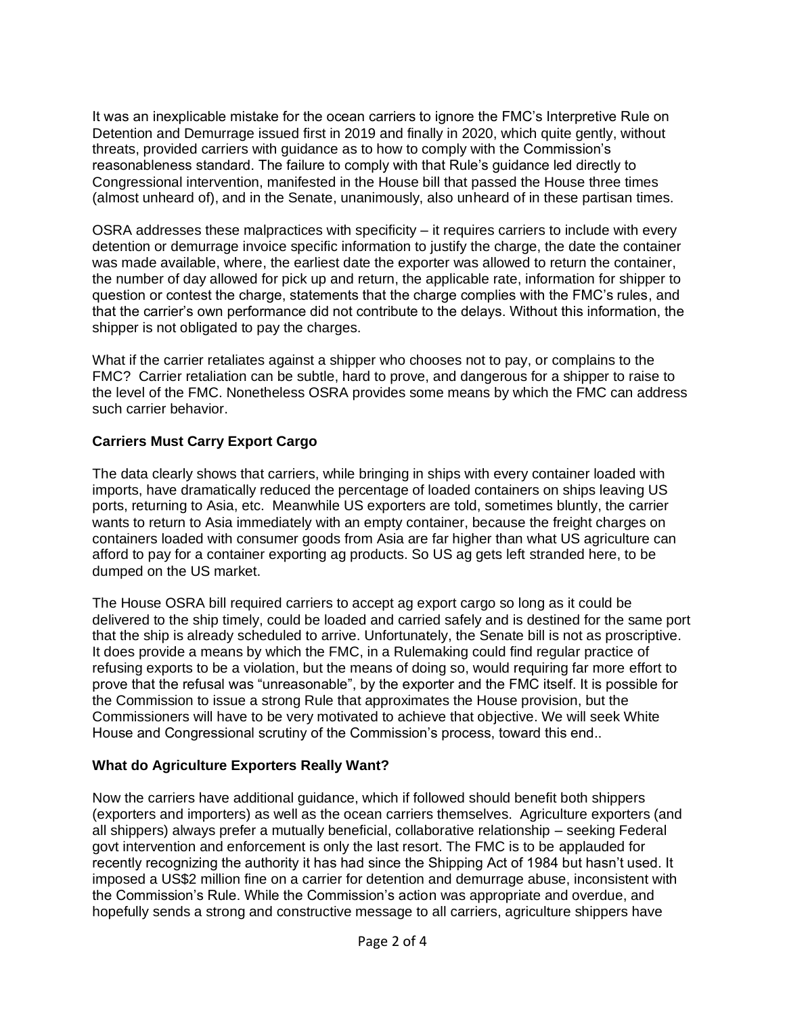It was an inexplicable mistake for the ocean carriers to ignore the FMC's Interpretive Rule on Detention and Demurrage issued first in 2019 and finally in 2020, which quite gently, without threats, provided carriers with guidance as to how to comply with the Commission's reasonableness standard. The failure to comply with that Rule's guidance led directly to Congressional intervention, manifested in the House bill that passed the House three times (almost unheard of), and in the Senate, unanimously, also unheard of in these partisan times.

OSRA addresses these malpractices with specificity – it requires carriers to include with every detention or demurrage invoice specific information to justify the charge, the date the container was made available, where, the earliest date the exporter was allowed to return the container, the number of day allowed for pick up and return, the applicable rate, information for shipper to question or contest the charge, statements that the charge complies with the FMC's rules, and that the carrier's own performance did not contribute to the delays. Without this information, the shipper is not obligated to pay the charges.

What if the carrier retaliates against a shipper who chooses not to pay, or complains to the FMC? Carrier retaliation can be subtle, hard to prove, and dangerous for a shipper to raise to the level of the FMC. Nonetheless OSRA provides some means by which the FMC can address such carrier behavior.

# **Carriers Must Carry Export Cargo**

The data clearly shows that carriers, while bringing in ships with every container loaded with imports, have dramatically reduced the percentage of loaded containers on ships leaving US ports, returning to Asia, etc. Meanwhile US exporters are told, sometimes bluntly, the carrier wants to return to Asia immediately with an empty container, because the freight charges on containers loaded with consumer goods from Asia are far higher than what US agriculture can afford to pay for a container exporting ag products. So US ag gets left stranded here, to be dumped on the US market.

The House OSRA bill required carriers to accept ag export cargo so long as it could be delivered to the ship timely, could be loaded and carried safely and is destined for the same port that the ship is already scheduled to arrive. Unfortunately, the Senate bill is not as proscriptive. It does provide a means by which the FMC, in a Rulemaking could find regular practice of refusing exports to be a violation, but the means of doing so, would requiring far more effort to prove that the refusal was "unreasonable", by the exporter and the FMC itself. It is possible for the Commission to issue a strong Rule that approximates the House provision, but the Commissioners will have to be very motivated to achieve that objective. We will seek White House and Congressional scrutiny of the Commission's process, toward this end..

# **What do Agriculture Exporters Really Want?**

Now the carriers have additional guidance, which if followed should benefit both shippers (exporters and importers) as well as the ocean carriers themselves. Agriculture exporters (and all shippers) always prefer a mutually beneficial, collaborative relationship – seeking Federal govt intervention and enforcement is only the last resort. The FMC is to be applauded for recently recognizing the authority it has had since the Shipping Act of 1984 but hasn't used. It imposed a US\$2 million fine on a carrier for detention and demurrage abuse, inconsistent with the Commission's Rule. While the Commission's action was appropriate and overdue, and hopefully sends a strong and constructive message to all carriers, agriculture shippers have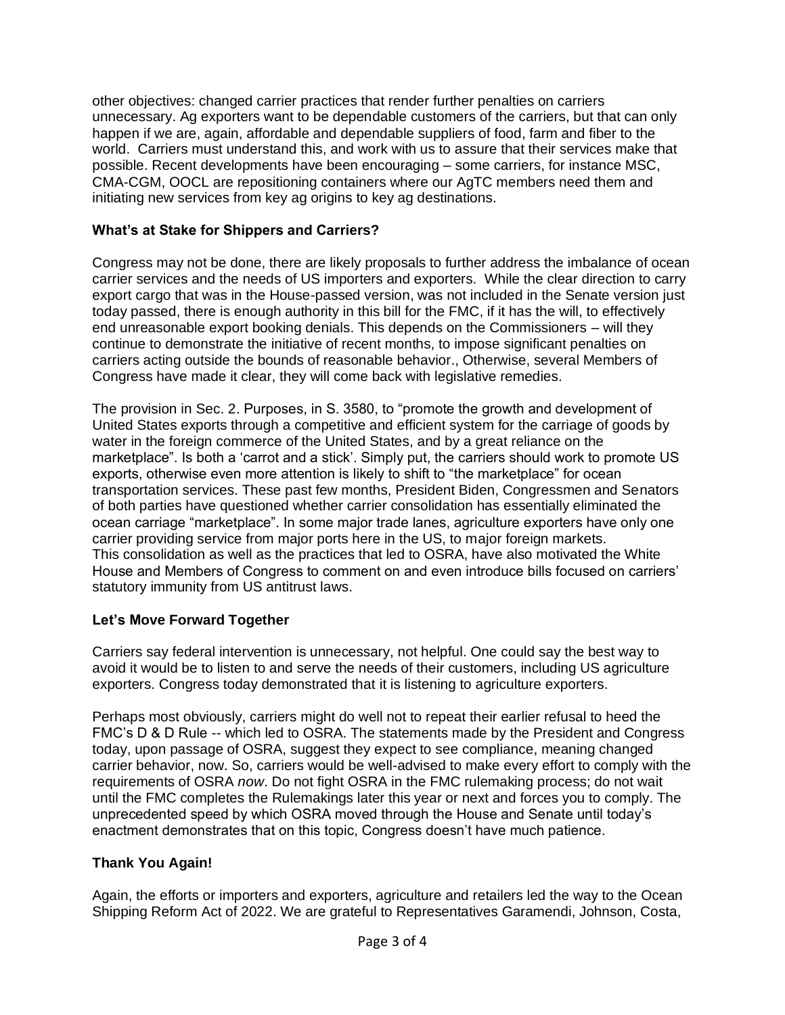other objectives: changed carrier practices that render further penalties on carriers unnecessary. Ag exporters want to be dependable customers of the carriers, but that can only happen if we are, again, affordable and dependable suppliers of food, farm and fiber to the world. Carriers must understand this, and work with us to assure that their services make that possible. Recent developments have been encouraging – some carriers, for instance MSC, CMA-CGM, OOCL are repositioning containers where our AgTC members need them and initiating new services from key ag origins to key ag destinations.

# **What's at Stake for Shippers and Carriers?**

Congress may not be done, there are likely proposals to further address the imbalance of ocean carrier services and the needs of US importers and exporters. While the clear direction to carry export cargo that was in the House-passed version, was not included in the Senate version just today passed, there is enough authority in this bill for the FMC, if it has the will, to effectively end unreasonable export booking denials. This depends on the Commissioners – will they continue to demonstrate the initiative of recent months, to impose significant penalties on carriers acting outside the bounds of reasonable behavior., Otherwise, several Members of Congress have made it clear, they will come back with legislative remedies.

The provision in Sec. 2. Purposes, in S. 3580, to "promote the growth and development of United States exports through a competitive and efficient system for the carriage of goods by water in the foreign commerce of the United States, and by a great reliance on the marketplace". Is both a 'carrot and a stick'. Simply put, the carriers should work to promote US exports, otherwise even more attention is likely to shift to "the marketplace" for ocean transportation services. These past few months, President Biden, Congressmen and Senators of both parties have questioned whether carrier consolidation has essentially eliminated the ocean carriage "marketplace". In some major trade lanes, agriculture exporters have only one carrier providing service from major ports here in the US, to major foreign markets. This consolidation as well as the practices that led to OSRA, have also motivated the White House and Members of Congress to comment on and even introduce bills focused on carriers' statutory immunity from US antitrust laws.

# **Let's Move Forward Together**

Carriers say federal intervention is unnecessary, not helpful. One could say the best way to avoid it would be to listen to and serve the needs of their customers, including US agriculture exporters. Congress today demonstrated that it is listening to agriculture exporters.

Perhaps most obviously, carriers might do well not to repeat their earlier refusal to heed the FMC's D & D Rule -- which led to OSRA. The statements made by the President and Congress today, upon passage of OSRA, suggest they expect to see compliance, meaning changed carrier behavior, now. So, carriers would be well-advised to make every effort to comply with the requirements of OSRA *now*. Do not fight OSRA in the FMC rulemaking process; do not wait until the FMC completes the Rulemakings later this year or next and forces you to comply. The unprecedented speed by which OSRA moved through the House and Senate until today's enactment demonstrates that on this topic, Congress doesn't have much patience.

# **Thank You Again!**

Again, the efforts or importers and exporters, agriculture and retailers led the way to the Ocean Shipping Reform Act of 2022. We are grateful to Representatives Garamendi, Johnson, Costa,